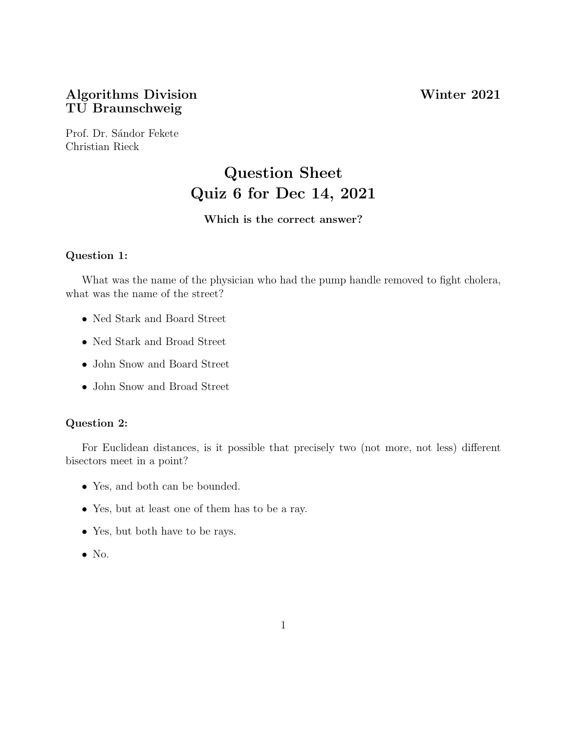## Algorithms Division Winter 2021 TU Braunschweig

Prof. Dr. Sándor Fekete Christian Rieck

# Question Sheet Quiz 6 for Dec 14, 2021

#### Which is the correct answer?

#### Question 1:

What was the name of the physician who had the pump handle removed to fight cholera, what was the name of the street?

- Ned Stark and Board Street
- Ned Stark and Broad Street
- John Snow and Board Street
- John Snow and Broad Street

#### Question 2:

For Euclidean distances, is it possible that precisely two (not more, not less) different bisectors meet in a point?

- Yes, and both can be bounded.
- Yes, but at least one of them has to be a ray.
- Yes, but both have to be rays.
- $\bullet$  No.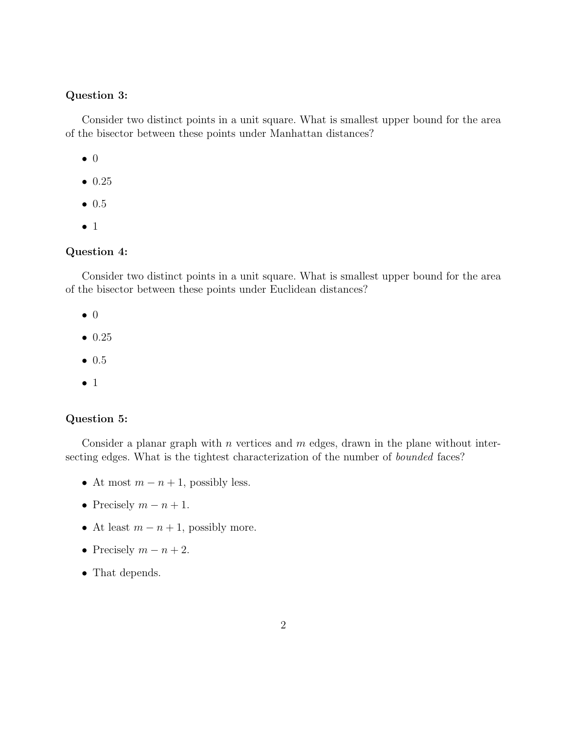#### Question 3:

Consider two distinct points in a unit square. What is smallest upper bound for the area of the bisector between these points under Manhattan distances?

- 0
- 0.25
- 0.5
- 1

#### Question 4:

Consider two distinct points in a unit square. What is smallest upper bound for the area of the bisector between these points under Euclidean distances?

- 0
- 0.25
- 0.5
- 1

#### Question 5:

Consider a planar graph with  $n$  vertices and  $m$  edges, drawn in the plane without intersecting edges. What is the tightest characterization of the number of bounded faces?

- At most  $m n + 1$ , possibly less.
- Precisely  $m n + 1$ .
- At least  $m n + 1$ , possibly more.
- Precisely  $m n + 2$ .
- That depends.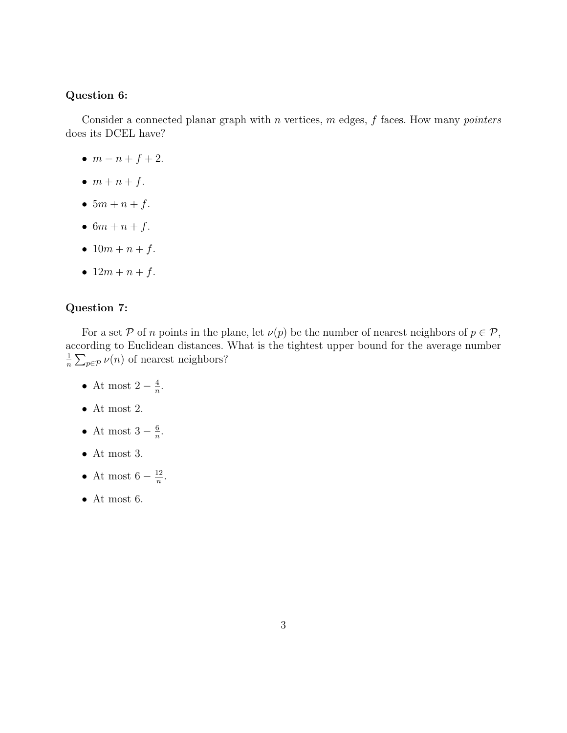#### Question 6:

Consider a connected planar graph with  $n$  vertices,  $m$  edges,  $f$  faces. How many *pointers* does its DCEL have?

- $m n + f + 2$ .
- $m + n + f$ .
- $5m + n + f$ .
- $6m + n + f$ .
- $10m + n + f$ .
- $12m + n + f$ .

#### Question 7:

For a set P of n points in the plane, let  $\nu(p)$  be the number of nearest neighbors of  $p \in \mathcal{P}$ , according to Euclidean distances. What is the tightest upper bound for the average number 1  $\frac{1}{n} \sum_{p \in \mathcal{P}} \nu(n)$  of nearest neighbors?

- At most  $2-\frac{4}{n}$  $\frac{4}{n}$ .
- $\bullet\,$  At most 2.
- At most  $3-\frac{6}{n}$  $\frac{6}{n}$ .
- At most 3.
- At most  $6-\frac{12}{n}$  $\frac{12}{n}$ .
- $\bullet\,$  At most 6.